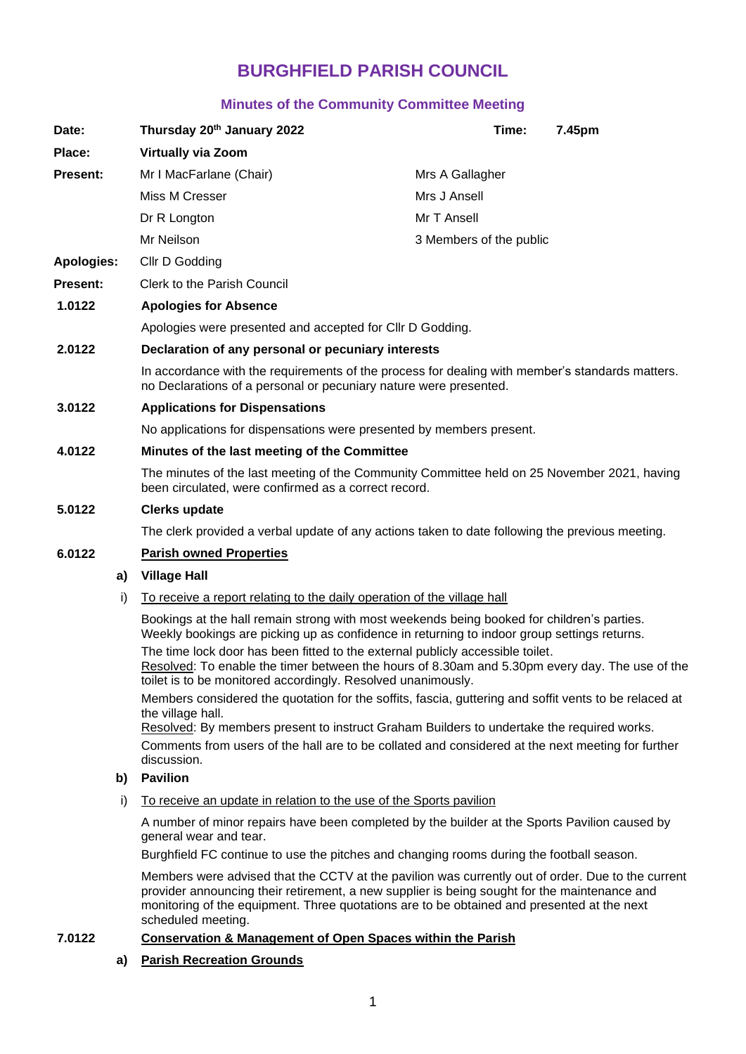# **BURGHFIELD PARISH COUNCIL**

# **Minutes of the Community Committee Meeting**

| Date:                                                                                                                                                                                                                                                                                                                                                        |    | Thursday 20th January 2022                                                                                                                                                                                              | Time:                   | 7.45pm |
|--------------------------------------------------------------------------------------------------------------------------------------------------------------------------------------------------------------------------------------------------------------------------------------------------------------------------------------------------------------|----|-------------------------------------------------------------------------------------------------------------------------------------------------------------------------------------------------------------------------|-------------------------|--------|
| Place:                                                                                                                                                                                                                                                                                                                                                       |    | <b>Virtually via Zoom</b>                                                                                                                                                                                               |                         |        |
| <b>Present:</b>                                                                                                                                                                                                                                                                                                                                              |    | Mr I MacFarlane (Chair)                                                                                                                                                                                                 | Mrs A Gallagher         |        |
|                                                                                                                                                                                                                                                                                                                                                              |    | Miss M Cresser                                                                                                                                                                                                          | Mrs J Ansell            |        |
|                                                                                                                                                                                                                                                                                                                                                              |    | Dr R Longton                                                                                                                                                                                                            | Mr T Ansell             |        |
|                                                                                                                                                                                                                                                                                                                                                              |    | Mr Neilson                                                                                                                                                                                                              | 3 Members of the public |        |
| <b>Apologies:</b>                                                                                                                                                                                                                                                                                                                                            |    | Cllr D Godding                                                                                                                                                                                                          |                         |        |
| <b>Present:</b>                                                                                                                                                                                                                                                                                                                                              |    | <b>Clerk to the Parish Council</b>                                                                                                                                                                                      |                         |        |
| 1.0122                                                                                                                                                                                                                                                                                                                                                       |    | <b>Apologies for Absence</b>                                                                                                                                                                                            |                         |        |
|                                                                                                                                                                                                                                                                                                                                                              |    | Apologies were presented and accepted for CIIr D Godding.                                                                                                                                                               |                         |        |
| 2.0122                                                                                                                                                                                                                                                                                                                                                       |    | Declaration of any personal or pecuniary interests                                                                                                                                                                      |                         |        |
|                                                                                                                                                                                                                                                                                                                                                              |    | In accordance with the requirements of the process for dealing with member's standards matters.<br>no Declarations of a personal or pecuniary nature were presented.                                                    |                         |        |
| 3.0122                                                                                                                                                                                                                                                                                                                                                       |    | <b>Applications for Dispensations</b>                                                                                                                                                                                   |                         |        |
|                                                                                                                                                                                                                                                                                                                                                              |    | No applications for dispensations were presented by members present.                                                                                                                                                    |                         |        |
| 4.0122                                                                                                                                                                                                                                                                                                                                                       |    | Minutes of the last meeting of the Committee                                                                                                                                                                            |                         |        |
|                                                                                                                                                                                                                                                                                                                                                              |    | The minutes of the last meeting of the Community Committee held on 25 November 2021, having<br>been circulated, were confirmed as a correct record.                                                                     |                         |        |
| 5.0122                                                                                                                                                                                                                                                                                                                                                       |    | <b>Clerks update</b>                                                                                                                                                                                                    |                         |        |
|                                                                                                                                                                                                                                                                                                                                                              |    | The clerk provided a verbal update of any actions taken to date following the previous meeting.                                                                                                                         |                         |        |
| 6.0122                                                                                                                                                                                                                                                                                                                                                       |    | <b>Parish owned Properties</b>                                                                                                                                                                                          |                         |        |
|                                                                                                                                                                                                                                                                                                                                                              | a) | <b>Village Hall</b>                                                                                                                                                                                                     |                         |        |
| To receive a report relating to the daily operation of the village hall<br>i)<br>Bookings at the hall remain strong with most weekends being booked for children's parties.<br>Weekly bookings are picking up as confidence in returning to indoor group settings returns.<br>The time lock door has been fitted to the external publicly accessible toilet. |    |                                                                                                                                                                                                                         |                         |        |
|                                                                                                                                                                                                                                                                                                                                                              |    |                                                                                                                                                                                                                         |                         |        |
|                                                                                                                                                                                                                                                                                                                                                              |    | Resolved: To enable the timer between the hours of 8.30am and 5.30pm every day. The use of the<br>toilet is to be monitored accordingly. Resolved unanimously.                                                          |                         |        |
|                                                                                                                                                                                                                                                                                                                                                              |    | Members considered the quotation for the soffits, fascia, guttering and soffit vents to be relaced at<br>the village hall.<br>Resolved: By members present to instruct Graham Builders to undertake the required works. |                         |        |
|                                                                                                                                                                                                                                                                                                                                                              |    | Comments from users of the hall are to be collated and considered at the next meeting for further<br>discussion.                                                                                                        |                         |        |
|                                                                                                                                                                                                                                                                                                                                                              | b) | <b>Pavilion</b>                                                                                                                                                                                                         |                         |        |
| i)                                                                                                                                                                                                                                                                                                                                                           |    | To receive an update in relation to the use of the Sports pavilion                                                                                                                                                      |                         |        |
|                                                                                                                                                                                                                                                                                                                                                              |    | A number of minor repairs have been completed by the builder at the Sports Pavilion caused by<br>general wear and tear.                                                                                                 |                         |        |
|                                                                                                                                                                                                                                                                                                                                                              |    | Burghfield FC continue to use the pitches and changing rooms during the football season.                                                                                                                                |                         |        |

Members were advised that the CCTV at the pavilion was currently out of order. Due to the current provider announcing their retirement, a new supplier is being sought for the maintenance and monitoring of the equipment. Three quotations are to be obtained and presented at the next scheduled meeting.

# **7.0122 Conservation & Management of Open Spaces within the Parish**

## **a) Parish Recreation Grounds**